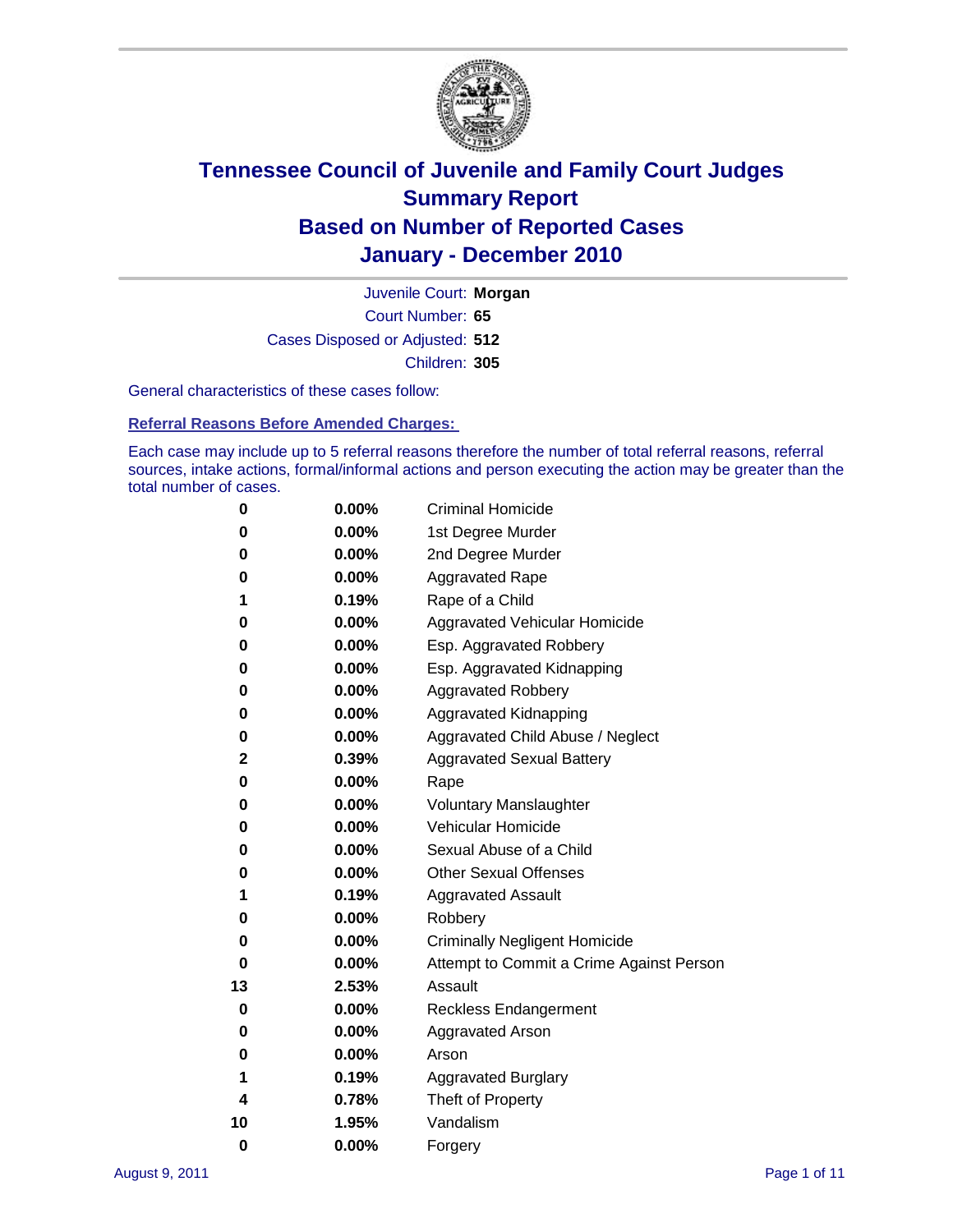

Court Number: **65** Juvenile Court: **Morgan** Cases Disposed or Adjusted: **512** Children: **305**

General characteristics of these cases follow:

**Referral Reasons Before Amended Charges:** 

Each case may include up to 5 referral reasons therefore the number of total referral reasons, referral sources, intake actions, formal/informal actions and person executing the action may be greater than the total number of cases.

| 0  | 0.00% | <b>Criminal Homicide</b>                 |
|----|-------|------------------------------------------|
| 0  | 0.00% | 1st Degree Murder                        |
| 0  | 0.00% | 2nd Degree Murder                        |
| 0  | 0.00% | <b>Aggravated Rape</b>                   |
| 1  | 0.19% | Rape of a Child                          |
| 0  | 0.00% | Aggravated Vehicular Homicide            |
| 0  | 0.00% | Esp. Aggravated Robbery                  |
| 0  | 0.00% | Esp. Aggravated Kidnapping               |
| 0  | 0.00% | <b>Aggravated Robbery</b>                |
| 0  | 0.00% | Aggravated Kidnapping                    |
| 0  | 0.00% | Aggravated Child Abuse / Neglect         |
| 2  | 0.39% | <b>Aggravated Sexual Battery</b>         |
| 0  | 0.00% | Rape                                     |
| 0  | 0.00% | <b>Voluntary Manslaughter</b>            |
| 0  | 0.00% | Vehicular Homicide                       |
| 0  | 0.00% | Sexual Abuse of a Child                  |
| 0  | 0.00% | <b>Other Sexual Offenses</b>             |
| 1  | 0.19% | <b>Aggravated Assault</b>                |
| 0  | 0.00% | Robbery                                  |
| 0  | 0.00% | <b>Criminally Negligent Homicide</b>     |
| 0  | 0.00% | Attempt to Commit a Crime Against Person |
| 13 | 2.53% | Assault                                  |
| 0  | 0.00% | <b>Reckless Endangerment</b>             |
| 0  | 0.00% | <b>Aggravated Arson</b>                  |
| 0  | 0.00% | Arson                                    |
| 1  | 0.19% | <b>Aggravated Burglary</b>               |
| 4  | 0.78% | Theft of Property                        |
| 10 | 1.95% | Vandalism                                |
| 0  | 0.00% | Forgery                                  |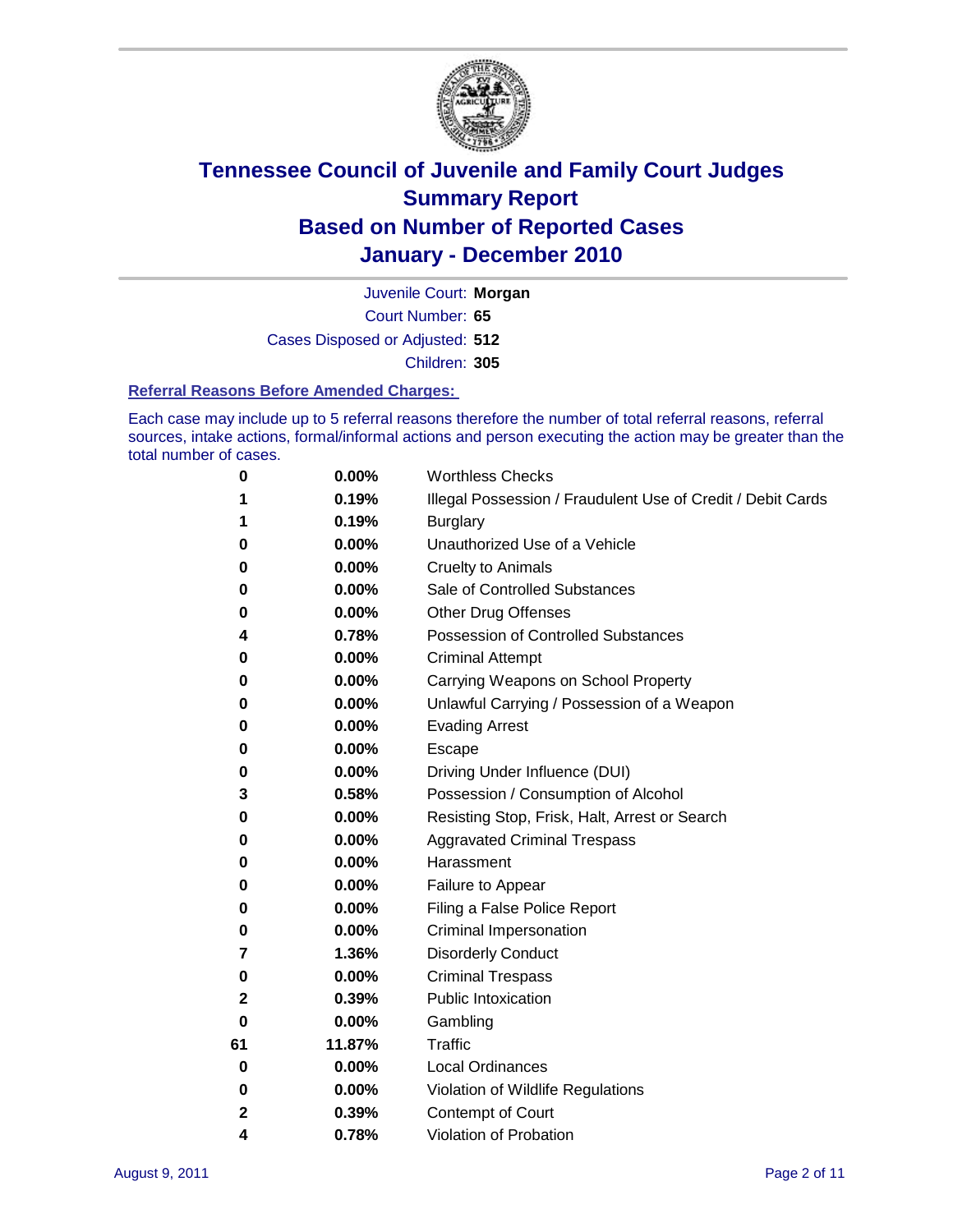

Court Number: **65** Juvenile Court: **Morgan** Cases Disposed or Adjusted: **512** Children: **305**

#### **Referral Reasons Before Amended Charges:**

Each case may include up to 5 referral reasons therefore the number of total referral reasons, referral sources, intake actions, formal/informal actions and person executing the action may be greater than the total number of cases.

| 0  | 0.00%  | <b>Worthless Checks</b>                                     |
|----|--------|-------------------------------------------------------------|
| 1  | 0.19%  | Illegal Possession / Fraudulent Use of Credit / Debit Cards |
| 1  | 0.19%  | <b>Burglary</b>                                             |
| 0  | 0.00%  | Unauthorized Use of a Vehicle                               |
| 0  | 0.00%  | <b>Cruelty to Animals</b>                                   |
| 0  | 0.00%  | Sale of Controlled Substances                               |
| 0  | 0.00%  | <b>Other Drug Offenses</b>                                  |
| 4  | 0.78%  | <b>Possession of Controlled Substances</b>                  |
| 0  | 0.00%  | <b>Criminal Attempt</b>                                     |
| 0  | 0.00%  | Carrying Weapons on School Property                         |
| 0  | 0.00%  | Unlawful Carrying / Possession of a Weapon                  |
| 0  | 0.00%  | <b>Evading Arrest</b>                                       |
| 0  | 0.00%  | Escape                                                      |
| 0  | 0.00%  | Driving Under Influence (DUI)                               |
| 3  | 0.58%  | Possession / Consumption of Alcohol                         |
| 0  | 0.00%  | Resisting Stop, Frisk, Halt, Arrest or Search               |
| 0  | 0.00%  | <b>Aggravated Criminal Trespass</b>                         |
| 0  | 0.00%  | Harassment                                                  |
| 0  | 0.00%  | Failure to Appear                                           |
| 0  | 0.00%  | Filing a False Police Report                                |
| 0  | 0.00%  | Criminal Impersonation                                      |
| 7  | 1.36%  | <b>Disorderly Conduct</b>                                   |
| 0  | 0.00%  | <b>Criminal Trespass</b>                                    |
| 2  | 0.39%  | <b>Public Intoxication</b>                                  |
| 0  | 0.00%  | Gambling                                                    |
| 61 | 11.87% | <b>Traffic</b>                                              |
| 0  | 0.00%  | <b>Local Ordinances</b>                                     |
| 0  | 0.00%  | Violation of Wildlife Regulations                           |
| 2  | 0.39%  | Contempt of Court                                           |
| 4  | 0.78%  | Violation of Probation                                      |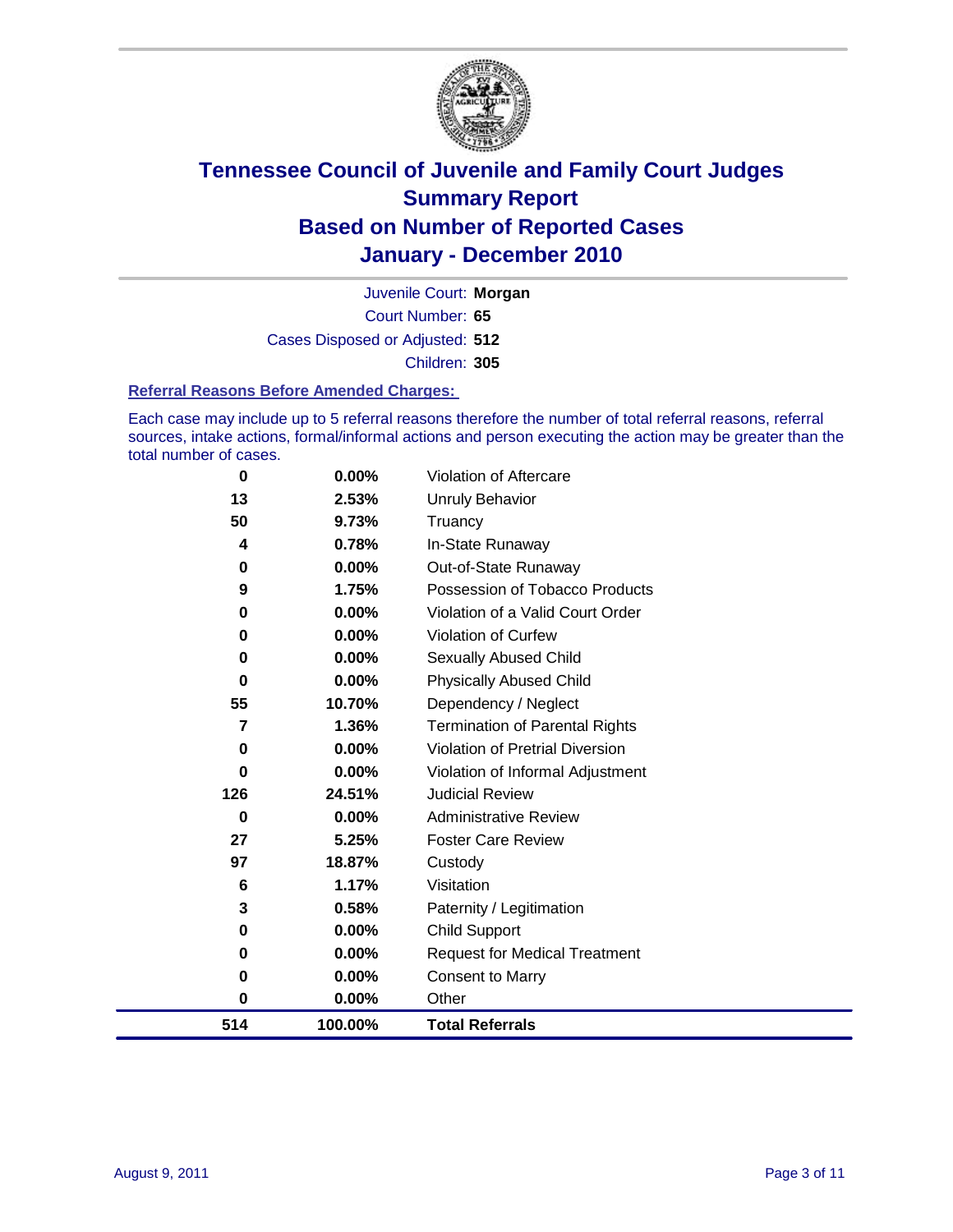

Court Number: **65** Juvenile Court: **Morgan** Cases Disposed or Adjusted: **512** Children: **305**

#### **Referral Reasons Before Amended Charges:**

Each case may include up to 5 referral reasons therefore the number of total referral reasons, referral sources, intake actions, formal/informal actions and person executing the action may be greater than the total number of cases.

| 514      | 100.00%  | <b>Total Referrals</b>                 |
|----------|----------|----------------------------------------|
| 0        | 0.00%    | Other                                  |
| 0        | 0.00%    | <b>Consent to Marry</b>                |
| 0        | 0.00%    | <b>Request for Medical Treatment</b>   |
| 0        | 0.00%    | <b>Child Support</b>                   |
| 3        | 0.58%    | Paternity / Legitimation               |
| 6        | 1.17%    | Visitation                             |
| 97       | 18.87%   | Custody                                |
| 27       | 5.25%    | <b>Foster Care Review</b>              |
| 0        | $0.00\%$ | <b>Administrative Review</b>           |
| 126      | 24.51%   | <b>Judicial Review</b>                 |
| 0        | 0.00%    | Violation of Informal Adjustment       |
| 0        | 0.00%    | <b>Violation of Pretrial Diversion</b> |
| 7        | 1.36%    | <b>Termination of Parental Rights</b>  |
| 55       | 10.70%   | Dependency / Neglect                   |
| $\bf{0}$ | 0.00%    | <b>Physically Abused Child</b>         |
| 0        | $0.00\%$ | <b>Sexually Abused Child</b>           |
| 0        | $0.00\%$ | <b>Violation of Curfew</b>             |
| 0        | 0.00%    | Violation of a Valid Court Order       |
| 9        | 1.75%    | Possession of Tobacco Products         |
| 0        | $0.00\%$ | Out-of-State Runaway                   |
| 4        | 0.78%    | In-State Runaway                       |
| 50       | 9.73%    | Truancy                                |
| 13       | 2.53%    | Unruly Behavior                        |
| 0        | 0.00%    | Violation of Aftercare                 |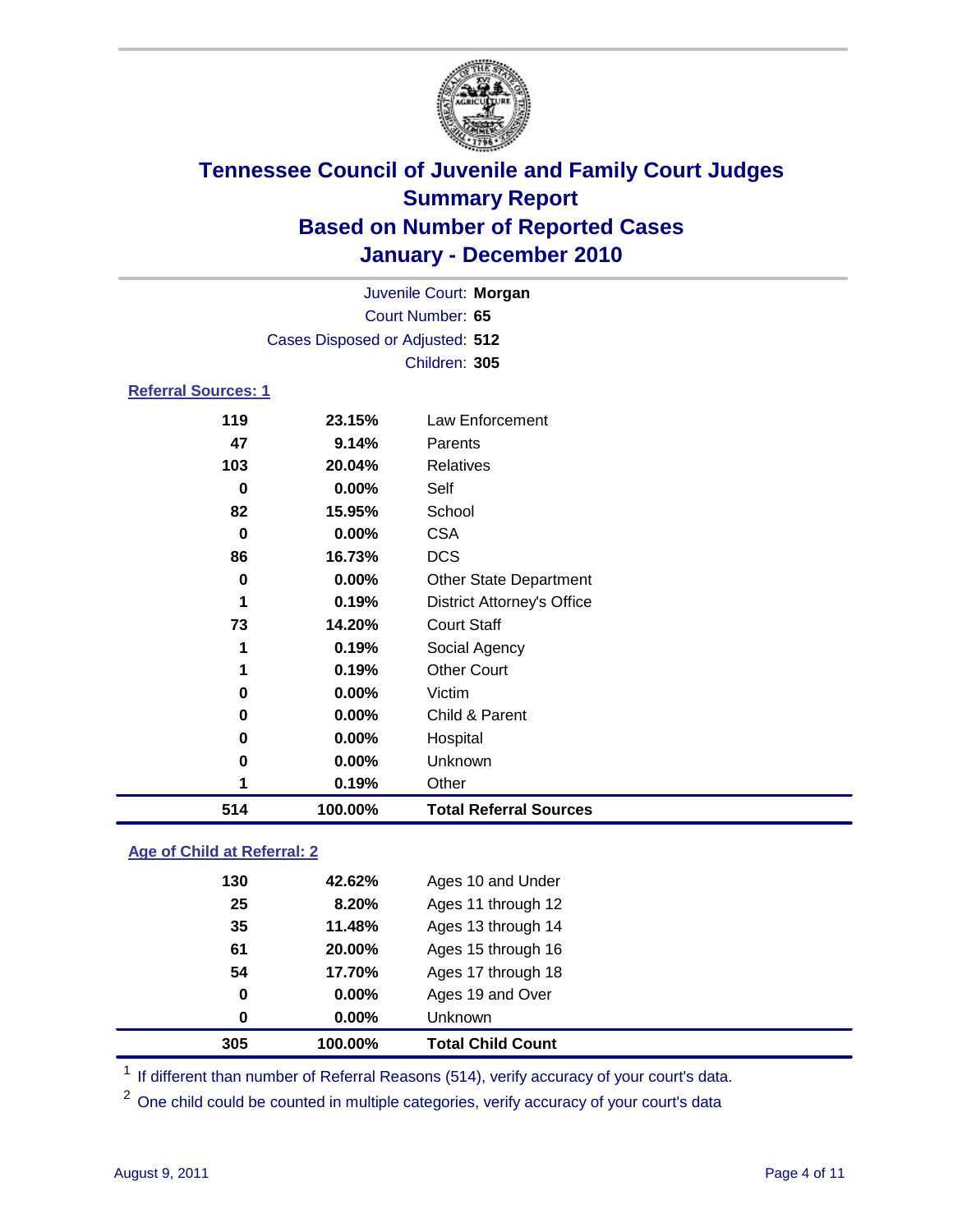

|                            |                                 | Juvenile Court: Morgan            |
|----------------------------|---------------------------------|-----------------------------------|
|                            |                                 | Court Number: 65                  |
|                            | Cases Disposed or Adjusted: 512 |                                   |
|                            |                                 | Children: 305                     |
| <b>Referral Sources: 1</b> |                                 |                                   |
| 119                        | 23.15%                          | Law Enforcement                   |
| 47                         | 9.14%                           | Parents                           |
| 103                        | 20.04%                          | Relatives                         |
| 0                          | 0.00%                           | Self                              |
| 82                         | 15.95%                          | School                            |
| 0                          | 0.00%                           | <b>CSA</b>                        |
| 86                         | 16.73%                          | <b>DCS</b>                        |
| 0                          | 0.00%                           | <b>Other State Department</b>     |
| 1                          | 0.19%                           | <b>District Attorney's Office</b> |
| 73                         | 14.20%                          | <b>Court Staff</b>                |
| 1                          | 0.19%                           | Social Agency                     |
| 1                          | 0.19%                           | <b>Other Court</b>                |
| 0                          | 0.00%                           | Victim                            |
| 0                          | 0.00%                           | Child & Parent                    |
| $\bf{0}$                   | 0.00%                           | Hospital                          |
| 0                          | 0.00%                           | Unknown                           |
| 1                          | 0.19%                           | Other                             |
| 514                        | 100.00%                         | <b>Total Referral Sources</b>     |

### **Age of Child at Referral: 2**

| 0   | 0.00%  | Unknown            |
|-----|--------|--------------------|
| 0   | 0.00%  | Ages 19 and Over   |
| 54  | 17.70% | Ages 17 through 18 |
| 61  | 20.00% | Ages 15 through 16 |
| 35  | 11.48% | Ages 13 through 14 |
| 25  | 8.20%  | Ages 11 through 12 |
| 130 | 42.62% | Ages 10 and Under  |
|     |        |                    |

<sup>1</sup> If different than number of Referral Reasons (514), verify accuracy of your court's data.

<sup>2</sup> One child could be counted in multiple categories, verify accuracy of your court's data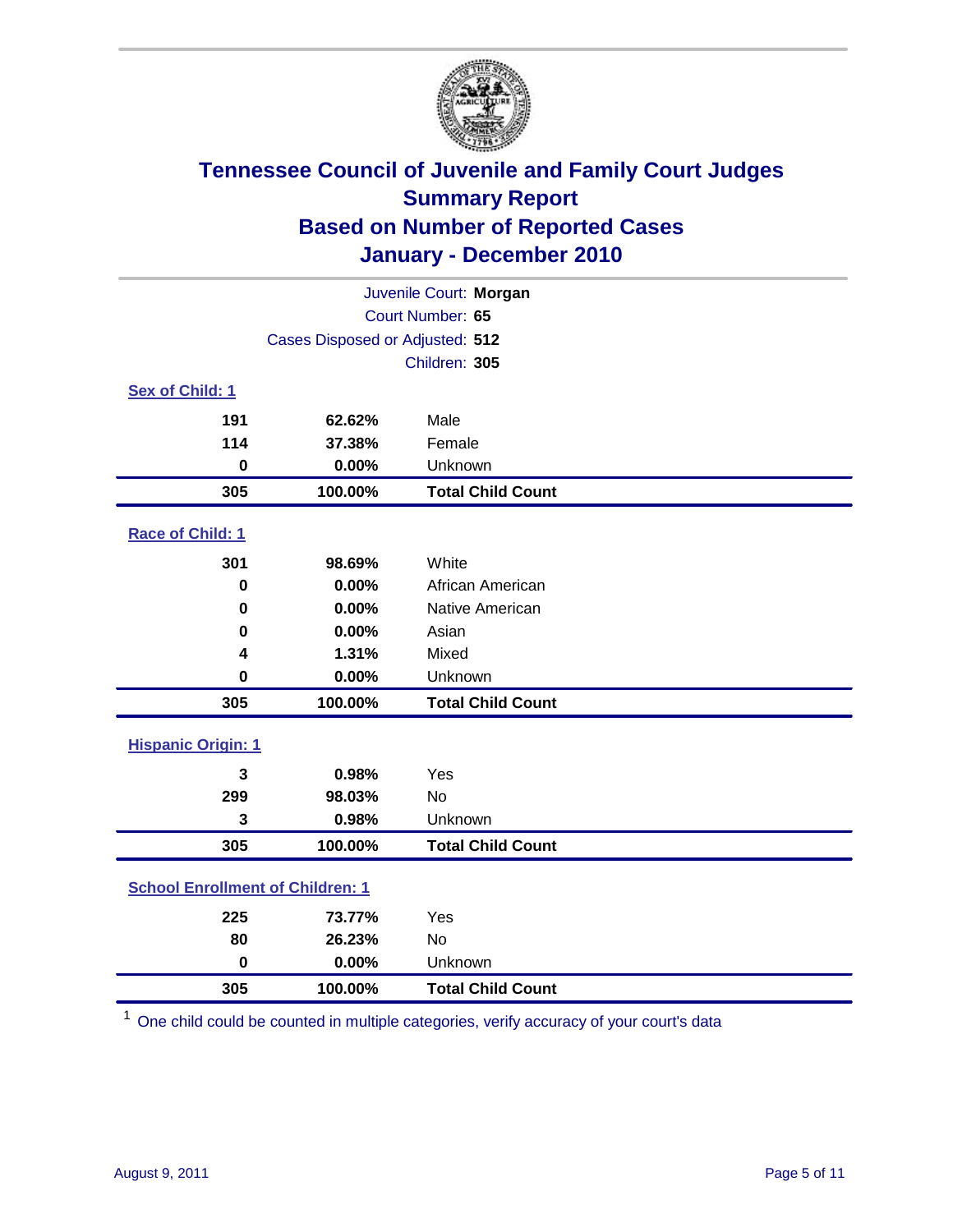

| Juvenile Court: Morgan                  |                                 |                          |  |  |
|-----------------------------------------|---------------------------------|--------------------------|--|--|
|                                         | Court Number: 65                |                          |  |  |
|                                         | Cases Disposed or Adjusted: 512 |                          |  |  |
|                                         |                                 | Children: 305            |  |  |
| Sex of Child: 1                         |                                 |                          |  |  |
| 191                                     | 62.62%                          | Male                     |  |  |
| 114                                     | 37.38%                          | Female                   |  |  |
| $\mathbf 0$                             | 0.00%                           | Unknown                  |  |  |
| 305                                     | 100.00%                         | <b>Total Child Count</b> |  |  |
| Race of Child: 1                        |                                 |                          |  |  |
| 301                                     | 98.69%                          | White                    |  |  |
| $\mathbf 0$                             | 0.00%                           | African American         |  |  |
| 0                                       | 0.00%                           | Native American          |  |  |
| $\bf{0}$                                | 0.00%                           | Asian                    |  |  |
| 4                                       | 1.31%                           | Mixed                    |  |  |
| $\mathbf 0$                             | 0.00%                           | Unknown                  |  |  |
| 305                                     | 100.00%                         | <b>Total Child Count</b> |  |  |
| <b>Hispanic Origin: 1</b>               |                                 |                          |  |  |
| 3                                       | 0.98%                           | Yes                      |  |  |
| 299                                     | 98.03%                          | No                       |  |  |
| $\overline{\mathbf{3}}$                 | 0.98%                           | Unknown                  |  |  |
| 305                                     | 100.00%                         | <b>Total Child Count</b> |  |  |
| <b>School Enrollment of Children: 1</b> |                                 |                          |  |  |
| 225                                     | 73.77%                          | Yes                      |  |  |
| 80                                      | 26.23%                          | No                       |  |  |
| $\mathbf 0$                             | 0.00%                           | Unknown                  |  |  |
| 305                                     | 100.00%                         | <b>Total Child Count</b> |  |  |

One child could be counted in multiple categories, verify accuracy of your court's data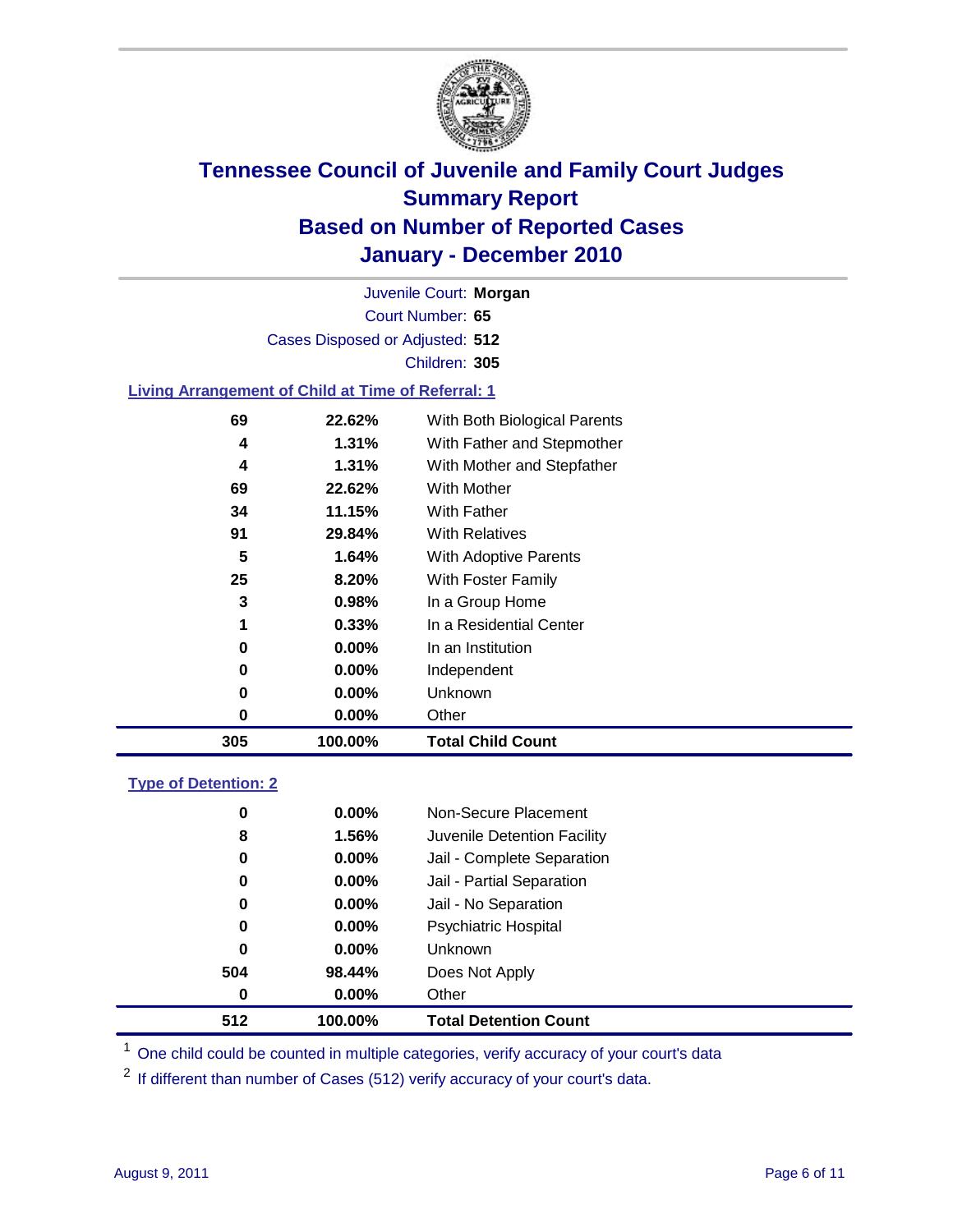

Court Number: **65** Juvenile Court: **Morgan** Cases Disposed or Adjusted: **512** Children: **305**

### **Living Arrangement of Child at Time of Referral: 1**

| 305 | 100.00%  | <b>Total Child Count</b>     |
|-----|----------|------------------------------|
| 0   | $0.00\%$ | Other                        |
| 0   | $0.00\%$ | Unknown                      |
| 0   | $0.00\%$ | Independent                  |
| 0   | $0.00\%$ | In an Institution            |
| 1   | 0.33%    | In a Residential Center      |
| 3   | 0.98%    | In a Group Home              |
| 25  | 8.20%    | With Foster Family           |
| 5   | 1.64%    | With Adoptive Parents        |
| 91  | 29.84%   | <b>With Relatives</b>        |
| 34  | 11.15%   | With Father                  |
| 69  | 22.62%   | With Mother                  |
| 4   | 1.31%    | With Mother and Stepfather   |
| 4   | 1.31%    | With Father and Stepmother   |
| 69  | 22.62%   | With Both Biological Parents |
|     |          |                              |

#### **Type of Detention: 2**

| 512 | 100.00%  | <b>Total Detention Count</b> |  |
|-----|----------|------------------------------|--|
| 0   | $0.00\%$ | Other                        |  |
| 504 | 98.44%   | Does Not Apply               |  |
| 0   | $0.00\%$ | <b>Unknown</b>               |  |
| 0   | 0.00%    | <b>Psychiatric Hospital</b>  |  |
| 0   | 0.00%    | Jail - No Separation         |  |
| 0   | $0.00\%$ | Jail - Partial Separation    |  |
| 0   | $0.00\%$ | Jail - Complete Separation   |  |
| 8   | 1.56%    | Juvenile Detention Facility  |  |
| 0   | $0.00\%$ | Non-Secure Placement         |  |
|     |          |                              |  |

<sup>1</sup> One child could be counted in multiple categories, verify accuracy of your court's data

<sup>2</sup> If different than number of Cases (512) verify accuracy of your court's data.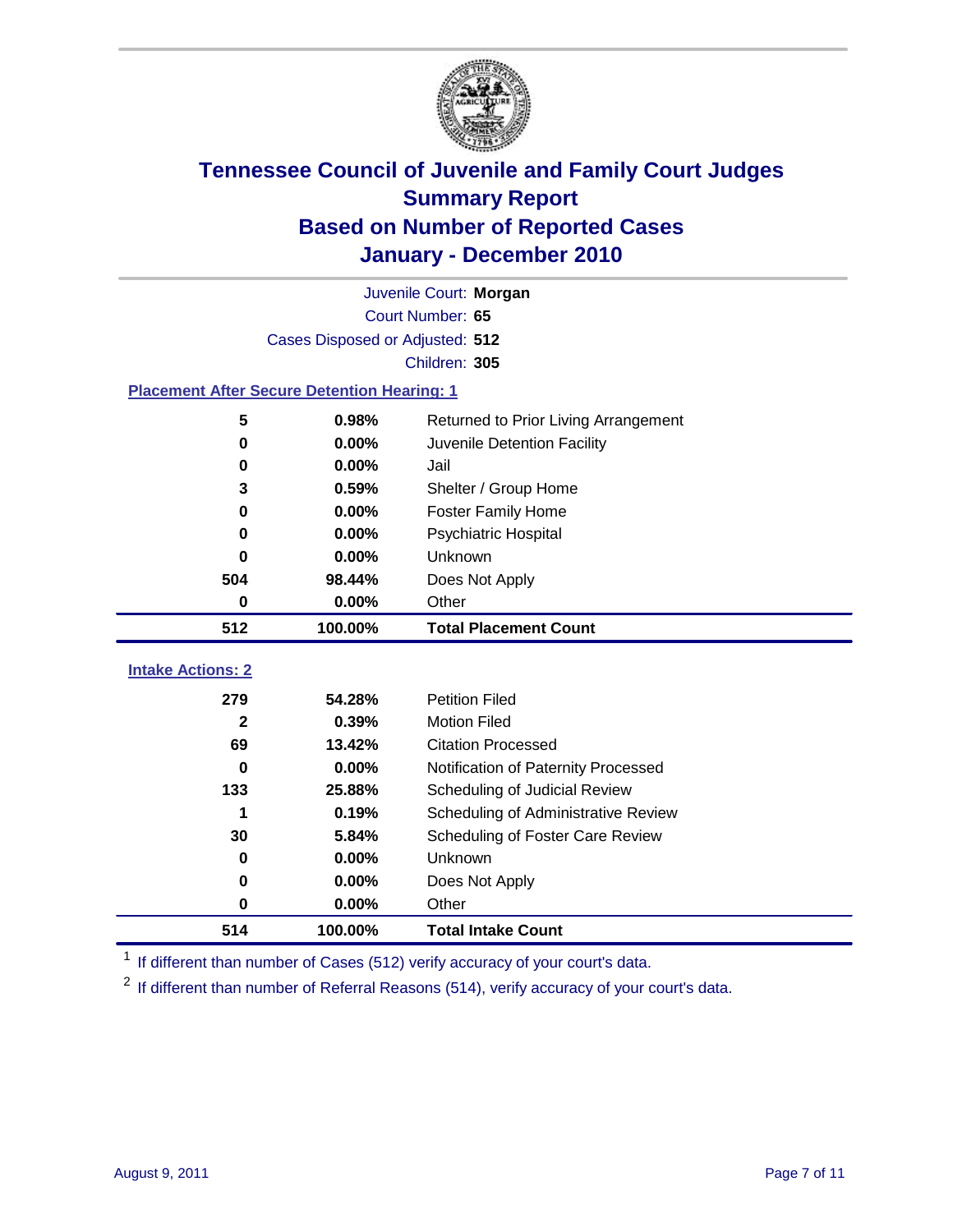

|                                                    | Juvenile Court: Morgan          |                                      |  |  |  |
|----------------------------------------------------|---------------------------------|--------------------------------------|--|--|--|
|                                                    | <b>Court Number: 65</b>         |                                      |  |  |  |
|                                                    | Cases Disposed or Adjusted: 512 |                                      |  |  |  |
|                                                    |                                 | Children: 305                        |  |  |  |
| <b>Placement After Secure Detention Hearing: 1</b> |                                 |                                      |  |  |  |
| 5                                                  | 0.98%                           | Returned to Prior Living Arrangement |  |  |  |
| $\mathbf 0$                                        | 0.00%                           | Juvenile Detention Facility          |  |  |  |
| 0                                                  | 0.00%                           | Jail                                 |  |  |  |
| 3                                                  | 0.59%                           | Shelter / Group Home                 |  |  |  |
| $\mathbf 0$                                        | 0.00%                           | <b>Foster Family Home</b>            |  |  |  |
| $\bf{0}$                                           | 0.00%                           | Psychiatric Hospital                 |  |  |  |
| 0                                                  | 0.00%                           | Unknown                              |  |  |  |
| 504                                                | 98.44%                          | Does Not Apply                       |  |  |  |
| $\mathbf 0$                                        | 0.00%                           | Other                                |  |  |  |
| 512                                                | 100.00%                         | <b>Total Placement Count</b>         |  |  |  |
|                                                    |                                 |                                      |  |  |  |
| <b>Intake Actions: 2</b>                           |                                 |                                      |  |  |  |
| 279                                                | 54.28%                          | <b>Petition Filed</b>                |  |  |  |
| 2                                                  | 0.39%                           | <b>Motion Filed</b>                  |  |  |  |
| 69                                                 | 13.42%                          | <b>Citation Processed</b>            |  |  |  |
| 0                                                  | 0.00%                           | Notification of Paternity Processed  |  |  |  |
| 133                                                | 25.88%                          | Scheduling of Judicial Review        |  |  |  |
| 1                                                  | 0.19%                           | Scheduling of Administrative Review  |  |  |  |
| 30                                                 | 5.84%                           | Scheduling of Foster Care Review     |  |  |  |
| $\bf{0}$                                           | 0.00%                           | <b>Unknown</b>                       |  |  |  |
| $\bf{0}$                                           | 0.00%                           | Does Not Apply                       |  |  |  |
| $\mathbf 0$                                        | 0.00%                           | Other                                |  |  |  |
| 514                                                | 100.00%                         | <b>Total Intake Count</b>            |  |  |  |

<sup>1</sup> If different than number of Cases (512) verify accuracy of your court's data.

<sup>2</sup> If different than number of Referral Reasons (514), verify accuracy of your court's data.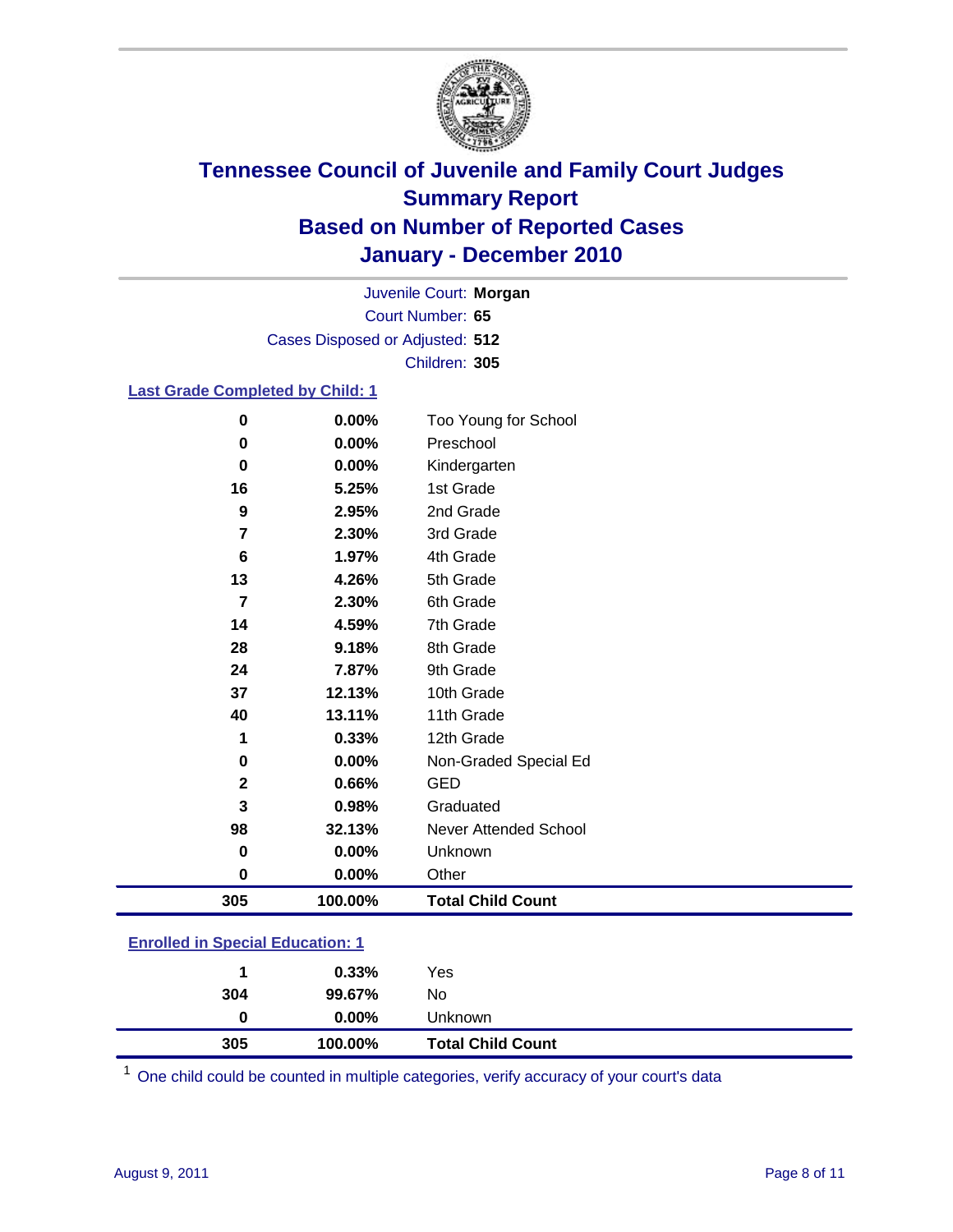

Court Number: **65** Juvenile Court: **Morgan** Cases Disposed or Adjusted: **512** Children: **305**

### **Last Grade Completed by Child: 1**

| 305          | 100.00% | <b>Total Child Count</b> |  |
|--------------|---------|--------------------------|--|
| 0            | 0.00%   | Other                    |  |
| $\bf{0}$     | 0.00%   | Unknown                  |  |
| 98           | 32.13%  | Never Attended School    |  |
| 3            | 0.98%   | Graduated                |  |
| $\mathbf{2}$ | 0.66%   | GED                      |  |
| 0            | 0.00%   | Non-Graded Special Ed    |  |
| 1            | 0.33%   | 12th Grade               |  |
| 40           | 13.11%  | 11th Grade               |  |
| 37           | 12.13%  | 10th Grade               |  |
| 24           | 7.87%   | 9th Grade                |  |
| 28           | 9.18%   | 8th Grade                |  |
| 14           | 4.59%   | 7th Grade                |  |
| 7            | 2.30%   | 6th Grade                |  |
| 13           | 4.26%   | 5th Grade                |  |
| 6            | 1.97%   | 4th Grade                |  |
| 7            | 2.30%   | 3rd Grade                |  |
| 9            | 2.95%   | 2nd Grade                |  |
| 16           | 5.25%   | 1st Grade                |  |
| $\bf{0}$     | 0.00%   | Kindergarten             |  |
| 0            | 0.00%   | Preschool                |  |
| 0            | 0.00%   | Too Young for School     |  |

### **Enrolled in Special Education: 1**

| 305 | 100.00%  | <b>Total Child Count</b> |
|-----|----------|--------------------------|
| 0   | $0.00\%$ | Unknown                  |
| 304 | 99.67%   | No                       |
|     | 0.33%    | Yes                      |
|     |          |                          |

One child could be counted in multiple categories, verify accuracy of your court's data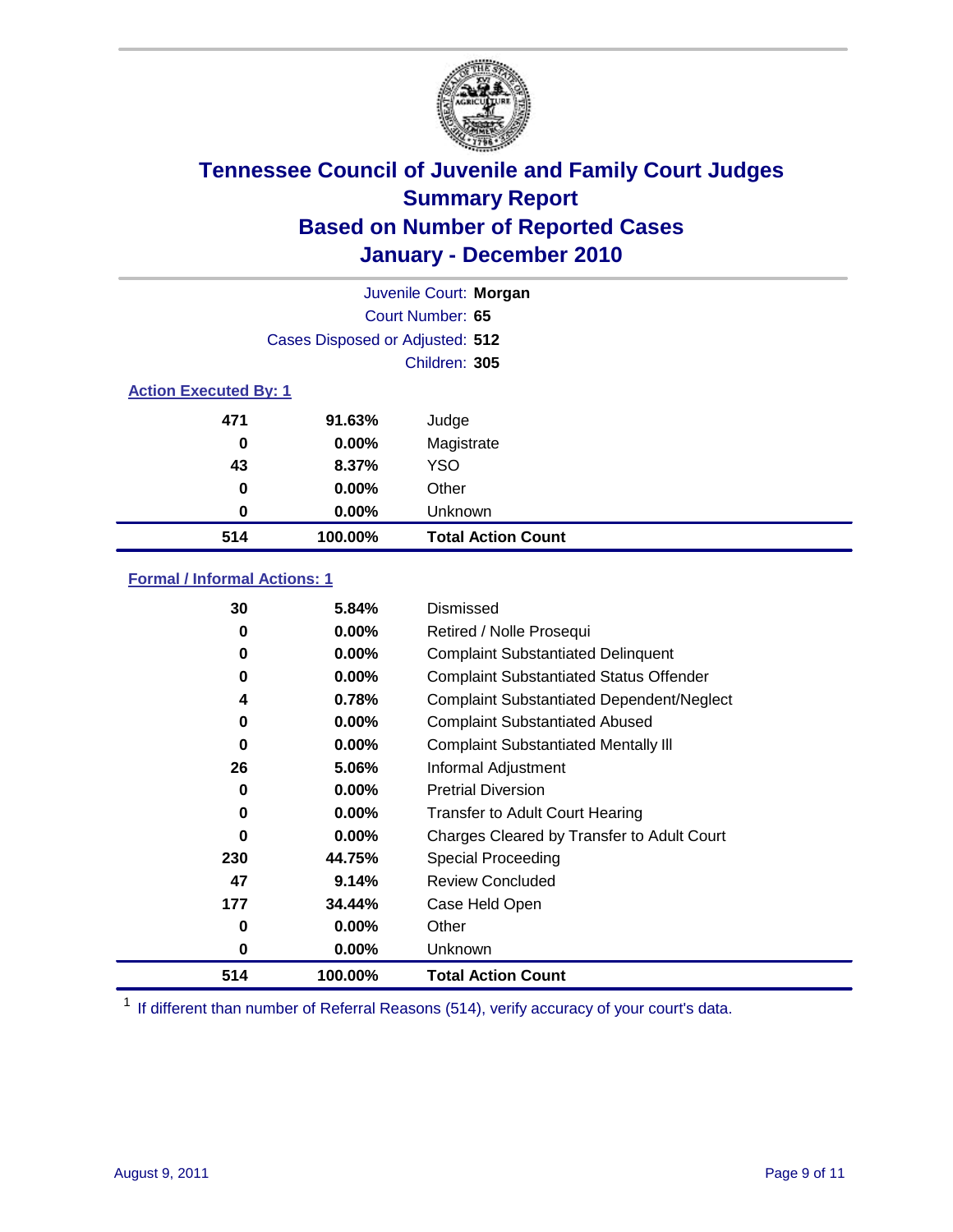

|                              | Juvenile Court: Morgan          |                           |  |  |
|------------------------------|---------------------------------|---------------------------|--|--|
|                              | Court Number: 65                |                           |  |  |
|                              | Cases Disposed or Adjusted: 512 |                           |  |  |
|                              |                                 | Children: 305             |  |  |
| <b>Action Executed By: 1</b> |                                 |                           |  |  |
| 471                          | 91.63%                          | Judge                     |  |  |
| 0                            | $0.00\%$                        | Magistrate                |  |  |
| 43                           | 8.37%                           | <b>YSO</b>                |  |  |
| 0                            | 0.00%                           | Other                     |  |  |
| 0                            | 0.00%                           | Unknown                   |  |  |
| 514                          | 100.00%                         | <b>Total Action Count</b> |  |  |

### **Formal / Informal Actions: 1**

| 30  | 5.84%    | Dismissed                                        |
|-----|----------|--------------------------------------------------|
| 0   | $0.00\%$ | Retired / Nolle Prosequi                         |
| 0   | $0.00\%$ | <b>Complaint Substantiated Delinquent</b>        |
| 0   | $0.00\%$ | <b>Complaint Substantiated Status Offender</b>   |
| 4   | 0.78%    | <b>Complaint Substantiated Dependent/Neglect</b> |
| 0   | $0.00\%$ | <b>Complaint Substantiated Abused</b>            |
| 0   | $0.00\%$ | <b>Complaint Substantiated Mentally III</b>      |
| 26  | 5.06%    | Informal Adjustment                              |
| 0   | $0.00\%$ | <b>Pretrial Diversion</b>                        |
| 0   | $0.00\%$ | <b>Transfer to Adult Court Hearing</b>           |
| 0   | $0.00\%$ | Charges Cleared by Transfer to Adult Court       |
| 230 | 44.75%   | Special Proceeding                               |
| 47  | 9.14%    | <b>Review Concluded</b>                          |
| 177 | 34.44%   | Case Held Open                                   |
| 0   | $0.00\%$ | Other                                            |
| 0   | $0.00\%$ | <b>Unknown</b>                                   |
| 514 | 100.00%  | <b>Total Action Count</b>                        |

<sup>1</sup> If different than number of Referral Reasons (514), verify accuracy of your court's data.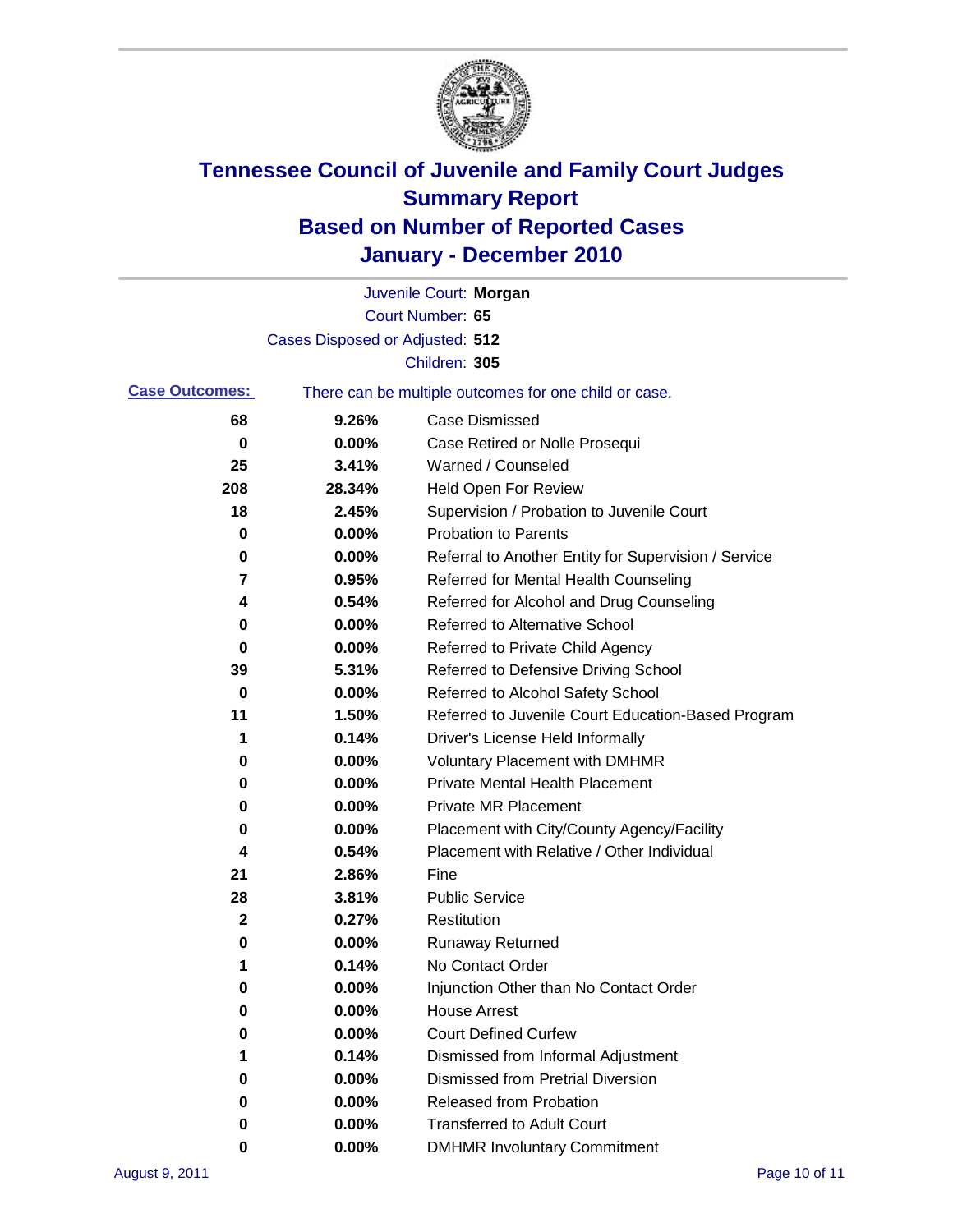

|                       |                                 | Juvenile Court: Morgan                                |
|-----------------------|---------------------------------|-------------------------------------------------------|
|                       |                                 | Court Number: 65                                      |
|                       | Cases Disposed or Adjusted: 512 |                                                       |
|                       |                                 | Children: 305                                         |
| <b>Case Outcomes:</b> |                                 | There can be multiple outcomes for one child or case. |
| 68                    | 9.26%                           | <b>Case Dismissed</b>                                 |
| 0                     | 0.00%                           | Case Retired or Nolle Prosequi                        |
| 25                    | 3.41%                           | Warned / Counseled                                    |
| 208                   | 28.34%                          | <b>Held Open For Review</b>                           |
| 18                    | 2.45%                           | Supervision / Probation to Juvenile Court             |
| 0                     | 0.00%                           | <b>Probation to Parents</b>                           |
| 0                     | 0.00%                           | Referral to Another Entity for Supervision / Service  |
| 7                     | 0.95%                           | Referred for Mental Health Counseling                 |
| 4                     | 0.54%                           | Referred for Alcohol and Drug Counseling              |
| 0                     | 0.00%                           | <b>Referred to Alternative School</b>                 |
| 0                     | 0.00%                           | Referred to Private Child Agency                      |
| 39                    | 5.31%                           | Referred to Defensive Driving School                  |
| 0                     | 0.00%                           | Referred to Alcohol Safety School                     |
| 11                    | 1.50%                           | Referred to Juvenile Court Education-Based Program    |
| 1                     | 0.14%                           | Driver's License Held Informally                      |
| 0                     | 0.00%                           | <b>Voluntary Placement with DMHMR</b>                 |
| 0                     | 0.00%                           | <b>Private Mental Health Placement</b>                |
| 0                     | 0.00%                           | <b>Private MR Placement</b>                           |
| 0                     | 0.00%                           | Placement with City/County Agency/Facility            |
| 4                     | 0.54%                           | Placement with Relative / Other Individual            |
| 21                    | 2.86%                           | Fine                                                  |
| 28                    | 3.81%                           | <b>Public Service</b>                                 |
| 2                     | 0.27%                           | Restitution                                           |
| 0                     | 0.00%                           | Runaway Returned                                      |
| 1                     | 0.14%                           | No Contact Order                                      |
| 0                     | 0.00%                           | Injunction Other than No Contact Order                |
| 0                     | 0.00%                           | <b>House Arrest</b>                                   |
| 0                     | 0.00%                           | <b>Court Defined Curfew</b>                           |
| 1                     | 0.14%                           | Dismissed from Informal Adjustment                    |
| 0                     | 0.00%                           | <b>Dismissed from Pretrial Diversion</b>              |
| 0                     | 0.00%                           | Released from Probation                               |
| 0                     | 0.00%                           | <b>Transferred to Adult Court</b>                     |
| 0                     | $0.00\%$                        | <b>DMHMR Involuntary Commitment</b>                   |